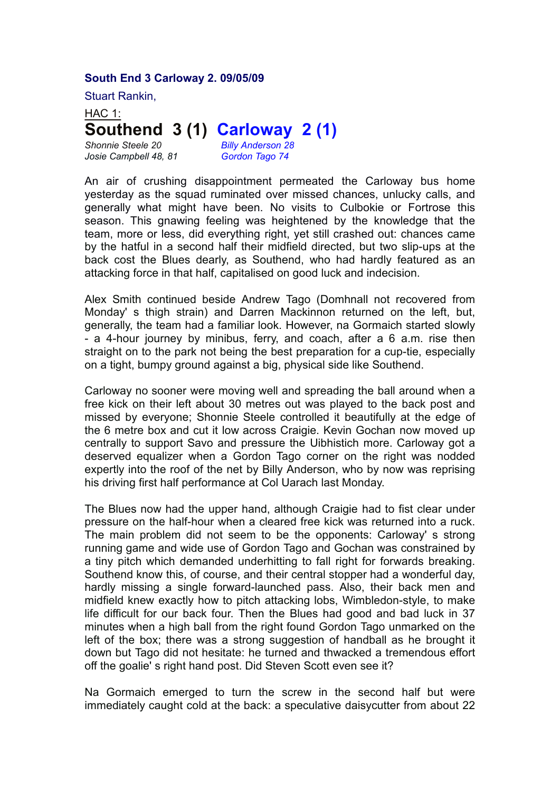## **South End 3 Carloway 2. 09/05/09**

Stuart Rankin,

HAC 1: **Southend 3 (1) Carloway 2 (1)**

*Josie Campbell 48, 81 Gordon Tago 74*

*Shonnie Steele 20 Billy Anderson 28*

An air of crushing disappointment permeated the Carloway bus home yesterday as the squad ruminated over missed chances, unlucky calls, and generally what might have been. No visits to Culbokie or Fortrose this season. This gnawing feeling was heightened by the knowledge that the team, more or less, did everything right, yet still crashed out: chances came by the hatful in a second half their midfield directed, but two slip-ups at the back cost the Blues dearly, as Southend, who had hardly featured as an attacking force in that half, capitalised on good luck and indecision.

Alex Smith continued beside Andrew Tago (Domhnall not recovered from Monday' s thigh strain) and Darren Mackinnon returned on the left, but, generally, the team had a familiar look. However, na Gormaich started slowly - a 4-hour journey by minibus, ferry, and coach, after a 6 a.m. rise then straight on to the park not being the best preparation for a cup-tie, especially on a tight, bumpy ground against a big, physical side like Southend.

Carloway no sooner were moving well and spreading the ball around when a free kick on their left about 30 metres out was played to the back post and missed by everyone; Shonnie Steele controlled it beautifully at the edge of the 6 metre box and cut it low across Craigie. Kevin Gochan now moved up centrally to support Savo and pressure the Uibhistich more. Carloway got a deserved equalizer when a Gordon Tago corner on the right was nodded expertly into the roof of the net by Billy Anderson, who by now was reprising his driving first half performance at Col Uarach last Monday.

The Blues now had the upper hand, although Craigie had to fist clear under pressure on the half-hour when a cleared free kick was returned into a ruck. The main problem did not seem to be the opponents: Carloway' s strong running game and wide use of Gordon Tago and Gochan was constrained by a tiny pitch which demanded underhitting to fall right for forwards breaking. Southend know this, of course, and their central stopper had a wonderful day, hardly missing a single forward-launched pass. Also, their back men and midfield knew exactly how to pitch attacking lobs, Wimbledon-style, to make life difficult for our back four. Then the Blues had good and bad luck in 37 minutes when a high ball from the right found Gordon Tago unmarked on the left of the box; there was a strong suggestion of handball as he brought it down but Tago did not hesitate: he turned and thwacked a tremendous effort off the goalie' s right hand post. Did Steven Scott even see it?

Na Gormaich emerged to turn the screw in the second half but were immediately caught cold at the back: a speculative daisycutter from about 22